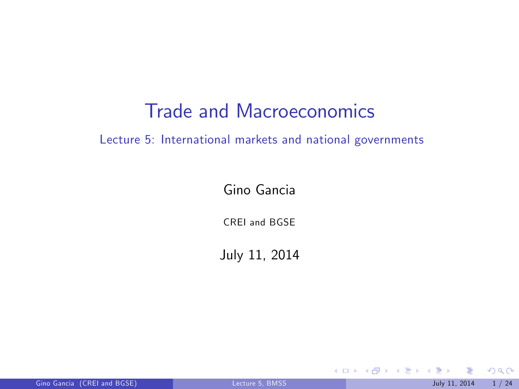## Trade and Macroeconomics

Lecture 5: International markets and national governments

Gino Gancia

CREI and BGSE

July 11, 2014

Gino Gancia (CREI and BGSE) [Lecture 5, BMSS](#page-23-0) July 11, 2014 1/24

<span id="page-0-0"></span> $299$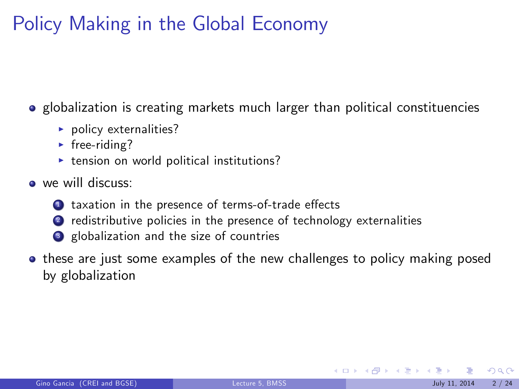# Policy Making in the Global Economy

• globalization is creating markets much larger than political constituencies

- $\blacktriangleright$  policy externalities?
- $\triangleright$  free-riding?
- $\triangleright$  tension on world political institutions?
- we will discuss:
	- 1 taxation in the presence of terms-of-trade effects
	- 2 redistributive policies in the presence of technology externalities
	- <sup>3</sup> globalization and the size of countries
- these are just some examples of the new challenges to policy making posed by globalization

 $\Omega$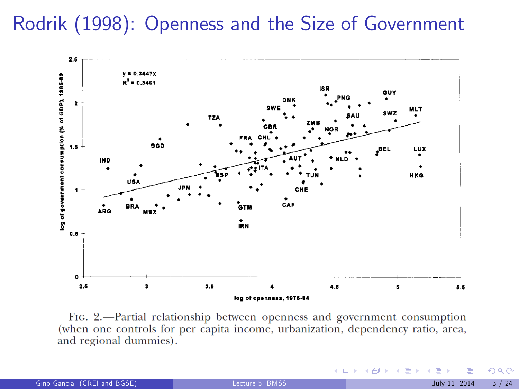# Rodrik (1998): Openness and the Size of Government



FIG. 2.—Partial relationship between openness and government consumption (when one controls for per capita income, urbanization, dependency ratio, area, and regional dummies).

 $299$ 

 $4$  O  $\rightarrow$   $4$   $\overline{m}$   $\rightarrow$   $4$   $\overline{m}$   $\rightarrow$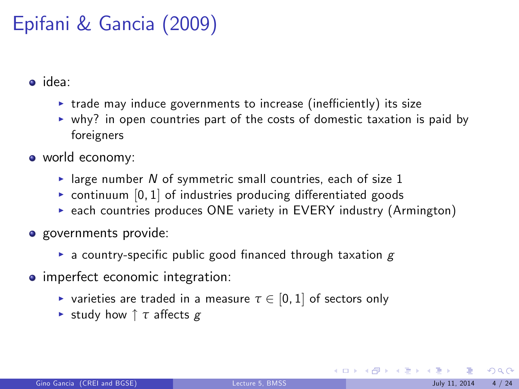# Epifani & Gancia (2009)

o idea:

- $\triangleright$  trade may induce governments to increase (inefficiently) its size
- $\triangleright$  why? in open countries part of the costs of domestic taxation is paid by foreigners
- world economy:
	- In large number N of symmetric small countries, each of size 1
	- $\triangleright$  continuum  $[0, 1]$  of industries producing differentiated goods
	- $\triangleright$  each countries produces ONE variety in EVERY industry (Armington)
- **o** governments provide:
	- **Exercice a** country-specific public good financed through taxation  $g$
- **•** imperfect economic integration:
	- $\triangleright$  varieties are traded in a measure  $\tau \in [0, 1]$  of sectors only
	- **►** study how ↑ *τ* affects g

 $\Omega$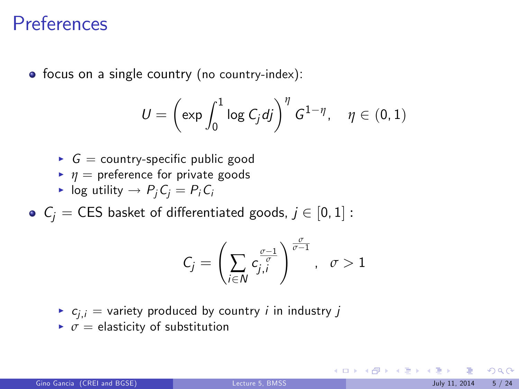#### Preferences

• focus on a single country (no country-index):

$$
U = \left(\exp \int_0^1 \log C_j \, dj\right)^{\eta} G^{1-\eta}, \quad \eta \in (0,1)
$$

- $\triangleright$   $G =$  country-specific public good
- $\blacksquare$  *η* = preference for private goods
- In log utility  $\rightarrow P_iC_i = P_iC_i$
- $C_i$  = CES basket of differentiated goods,  $j \in [0, 1]$  :

$$
C_j=\left(\sum_{i\in N}c_{j,i}^{\frac{\sigma-1}{\sigma}}\right)^{\frac{\sigma}{\sigma-1}},\ \ \sigma>1
$$

- $\bullet$   $c_{i,i}$  = variety produced by country *i* in industry *j*
- $\triangleright \sigma =$  elasticity of substitution

 $\Omega$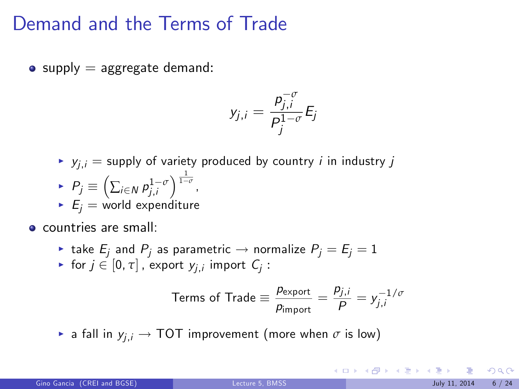## Demand and the Terms of Trade

 $\bullet$  supply  $=$  aggregate demand:

$$
y_{j,i}=\frac{p_{j,i}^{-\sigma}}{P_j^{1-\sigma}}E_j
$$

$$
\blacktriangleright
$$
  $y_{j,i} =$  supply of variety produced by country *i* in industry *j*

- $\blacktriangleright$   $P_j \equiv \left( \sum_{i \in \mathbb{N}} p_{j,i}^{1-\sigma} \right)^{\frac{1}{1-\sigma}}$
- $E_i$  = world expenditure

**e** countries are small:

- ightharpoontal take  $E_i$  and  $P_j$  as parametric  $\rightarrow$  normalize  $P_j = E_j = 1$
- For  $j \in [0, \tau]$  , export  $y_{j,i}$  import  $C_j$  :

Terms of Trade 
$$
\equiv \frac{p_{\text{export}}}{p_{\text{import}}} = \frac{p_{j,i}}{P} = y_{j,i}^{-1/\sigma}
$$

**F** a fall in  $y_{i,i} \rightarrow \text{TOT}$  improvement (more when  $\sigma$  is low)

 $209$ 

メロメ メ都 メメ きょうくぼ メー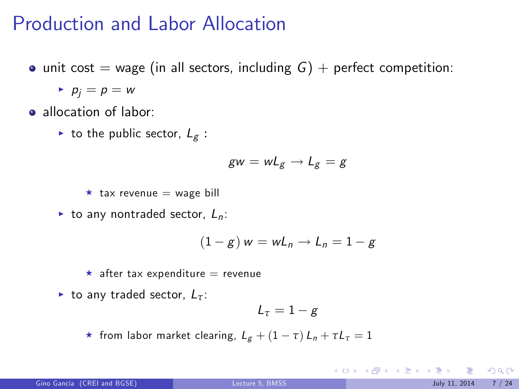### Production and Labor Allocation

 $\bullet$  unit cost = wage (in all sectors, including  $G$ ) + perfect competition:

 $\blacktriangleright$   $p_i = p = w$ 

a allocation of labor:

ightharpoontriangleright to the public sector,  $L_g$ :

$$
gw = wL_g \rightarrow L_g = g
$$

 $\star$  tax revenue = wage bill

 $\triangleright$  to any nontraded sector,  $L_n$ :

$$
(1-g) w = wL_n \rightarrow L_n = 1-g
$$

 $\star$  after tax expenditure = revenue

 $\blacktriangleright$  to any traded sector,  $L_{\tau}$ :

$$
L_{\tau}=1-g
$$

**\*** from labor market clearing,  $L_g + (1 - \tau) L_n + \tau L_\tau = 1$ 

 $\Omega$ 

**K ロ ト K 御 ト K 澄 ト K 差 ト**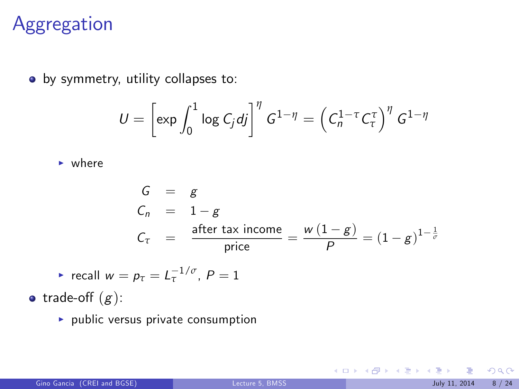## Aggregation

• by symmetry, utility collapses to:

$$
U = \left[\exp \int_0^1 \log C_j \, dj\right]^\eta G^{1-\eta} = \left(C_n^{1-\tau} C_\tau^\tau\right)^\eta G^{1-\eta}
$$

 $\blacktriangleright$  where

$$
G = g
$$
  
\n
$$
C_n = 1 - g
$$
  
\n
$$
C_{\tau} = \frac{\text{after tax income}}{\text{price}} = \frac{w(1 - g)}{P} = (1 - g)^{1 - \frac{1}{\sigma}}
$$

$$
\blacktriangleright \ \text{recall} \ w = p_{\tau} = L_{\tau}^{-1/\sigma}, \ P = 1
$$

• trade-off  $(g)$ :

 $\blacktriangleright$  public versus private consumption

 $299$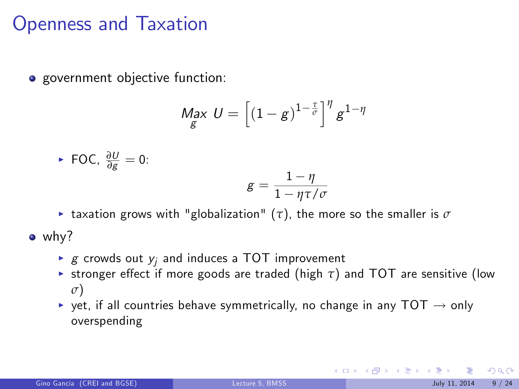## Openness and Taxation

• government objective function:

$$
\underset{g}{\text{Max }} U = \left[ (1-g)^{1-\frac{\tau}{\sigma}} \right]^{\eta} g^{1-\eta}
$$

▶ FOC, 
$$
\frac{\partial U}{\partial g} = 0
$$
:  

$$
g = \frac{1 - \eta}{1 - \eta \tau / \sigma}
$$

**E** taxation grows with "globalization" ( $\tau$ ), the more so the smaller is  $\sigma$ 

• why?

- $\blacktriangleright$  g crowds out  $y_i$  and induces a TOT improvement
- **Example 1** stronger effect if more goods are traded (high  $\tau$ ) and TOT are sensitive (low *σ*)
- $\rightarrow$  yet, if all countries behave symmetrically, no change in any TOT  $\rightarrow$  only overspending

 $209$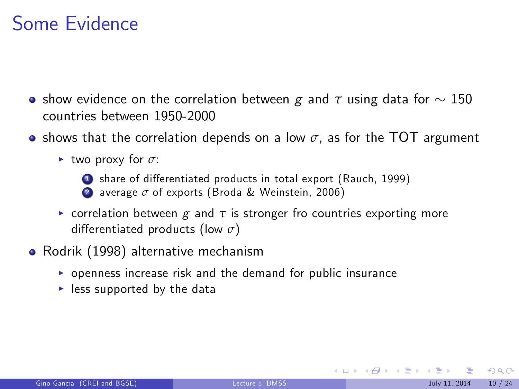## Some Evidence

- **•** show evidence on the correlation between g and  $\tau$  using data for  $\sim 150$ countries between 1950-2000
- $\bullet$  shows that the correlation depends on a low  $\sigma$ , as for the TOT argument
	- $\blacktriangleright$  two proxy for  $\sigma$ :



- share of differentiated products in total export (Rauch, 1999)
- <sup>2</sup> average *σ* of exports (Broda & Weinstein, 2006)
- **Exercise is correlation between**  $g$  **and**  $\tau$  **is stronger fro countries exporting more** differentiated products (low *σ*)
- Rodrik (1998) alternative mechanism
	- $\triangleright$  openness increase risk and the demand for public insurance
	- $\blacktriangleright$  less supported by the data

 $\Omega$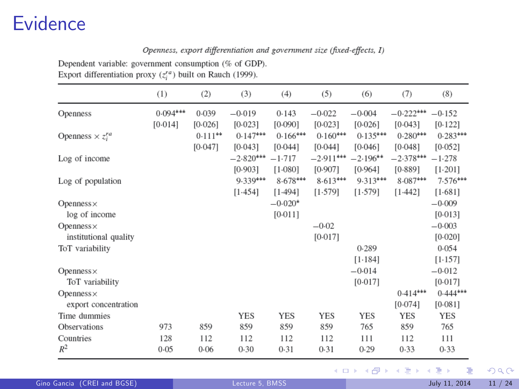## **Evidence**

#### Openness, export differentiation and government size (fixed-effects, I)

Dependent variable: government consumption (% of GDP). Export differentiation proxy  $(z_i^{ra})$  built on Rauch (1999).

|                            | (1)        | (2)       | (3)         | (4)        | (5)         | (6)        | (7)         | (8)        |
|----------------------------|------------|-----------|-------------|------------|-------------|------------|-------------|------------|
| Openness                   | $0.094***$ | 0.039     | $-0.019$    | 0.143      | $-0.022$    | $-0.004$   | $-0.222***$ | $-0.152$   |
|                            | [0.014]    | [0.026]   | [0.023]     | [0.090]    | [0.023]     | [0.026]    | [0.043]     | [0.122]    |
| Openness $\times z_i^{ra}$ |            | $0.111**$ | $0.147***$  | $0.166***$ | $0.160***$  | $0.135***$ | $0.280***$  | $0.283***$ |
|                            |            | [0.047]   | [0.043]     | [0.044]    | [0.044]     | [0.046]    | [0.048]     | [0.052]    |
| Log of income              |            |           | $-2.820***$ | $-1.717$   | $-2.911***$ | $-2.196**$ | $-2.378***$ | $-1.278$   |
|                            |            |           | [0.903]     | $[1.080]$  | [0.907]     | [0.964]    | [0.889]     | $[1.201]$  |
| Log of population          |            |           | $9.339***$  | $8.678***$ | $8.613***$  | $9.313***$ | $8.087***$  | $7.576***$ |
|                            |            |           | [1.454]     | [1.494]    | $[1.579]$   | [1.579]    | [1.442]     | [1.681]    |
| $Openness \times$          |            |           |             | $-0.020*$  |             |            |             | $-0.009$   |
| log of income              |            |           |             | [0.011]    |             |            |             | [0.013]    |
| $Openness \times$          |            |           |             |            | $-0.02$     |            |             | $-0.003$   |
| institutional quality      |            |           |             |            | [0.017]     |            |             | [0.020]    |
| ToT variability            |            |           |             |            |             | 0.289      |             | 0.054      |
|                            |            |           |             |            |             | [1.184]    |             | [1.157]    |
| Openness $\times$          |            |           |             |            |             | $-0.014$   |             | $-0.012$   |
| ToT variability            |            |           |             |            |             | [0.017]    |             | [0.017]    |
| Openness $\times$          |            |           |             |            |             |            | $0.414***$  | $0.444***$ |
| export concentration       |            |           |             |            |             |            | [0.074]     | [0.081]    |
| Time dummies               |            |           | <b>YES</b>  | <b>YES</b> | <b>YES</b>  | <b>YES</b> | <b>YES</b>  | <b>YES</b> |
| Observations               | 973        | 859       | 859         | 859        | 859         | 765        | 859         | 765        |
| Countries                  | 128        | 112       | 112         | 112        | 112         | 111        | 112         | 111        |
| $R^2$                      | 0.05       | 0.06      | 0.30        | 0.31       | 0.31        | 0.29       | 0.33        | 0.33       |

メロメ メ御き メミメ メミメ  $299$ 活

Gino Gancia (CREI and BGSE) [Lecture 5, BMSS](#page-0-0) July 11, 2014 11 / 24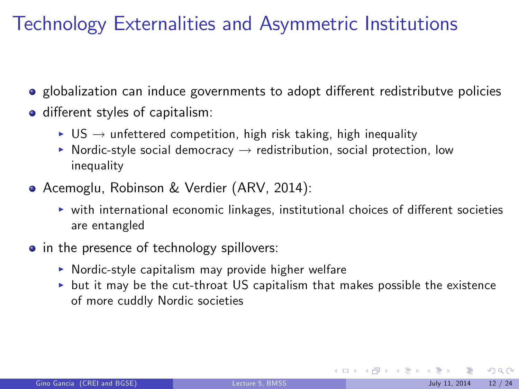# Technology Externalities and Asymmetric Institutions

- globalization can induce governments to adopt different redistributve policies
- o different styles of capitalism:
	- $\triangleright$  US  $\rightarrow$  unfettered competition, high risk taking, high inequality
	- $\triangleright$  Nordic-style social democracy  $\rightarrow$  redistribution, social protection, low inequality
- Acemoglu, Robinson & Verdier (ARV, 2014):
	- $\triangleright$  with international economic linkages, institutional choices of different societies are entangled
- in the presence of technology spillovers:
	- $\triangleright$  Nordic-style capitalism may provide higher welfare
	- $\triangleright$  but it may be the cut-throat US capitalism that makes possible the existence of more cuddly Nordic societies

 $\Omega$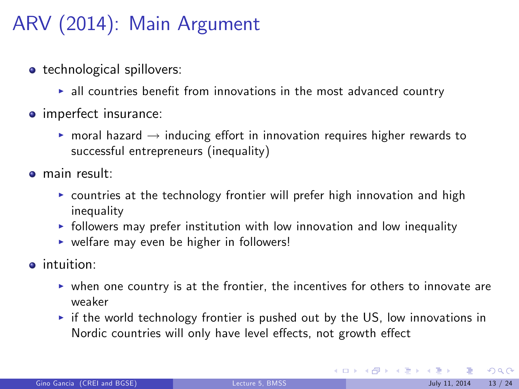# ARV (2014): Main Argument

- **•** technological spillovers:
	- $\blacktriangleright$  all countries benefit from innovations in the most advanced country
- **o** imperfect insurance:
	- **moral hazard**  $\rightarrow$  inducing effort in innovation requires higher rewards to successful entrepreneurs (inequality)
- main result:
	- $\triangleright$  countries at the technology frontier will prefer high innovation and high inequality
	- $\triangleright$  followers may prefer institution with low innovation and low inequality
	- $\triangleright$  welfare may even be higher in followers!
- $\bullet$  intuition:
	- $\triangleright$  when one country is at the frontier, the incentives for others to innovate are weaker
	- $\triangleright$  if the world technology frontier is pushed out by the US, low innovations in Nordic countries will only have level effects, not growth effect

 $2990$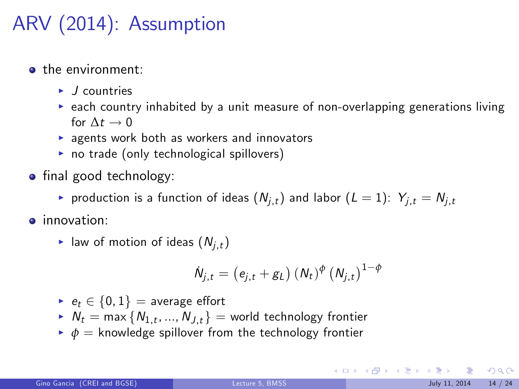# ARV (2014): Assumption

- the environment:
	- $\blacktriangleright$  *J* countries
	- $\triangleright$  each country inhabited by a unit measure of non-overlapping generations living for  $\Lambda t \rightarrow 0$
	- $\triangleright$  agents work both as workers and innovators
	- $\triangleright$  no trade (only technological spillovers)
- $\bullet$  final good technology:
	- roduction is a function of ideas  $(N_{i,t})$  and labor  $(L = 1)$ :  $Y_{i,t} = N_{i,t}$
- **·** innovation:
	- In law of motion of ideas ( $N_{i,t}$ )

$$
\dot{N}_{j,t} = (e_{j,t} + g_L) (N_t)^{\phi} (N_{j,t})^{1-\phi}
$$

- $e_t \in \{0, 1\}$  = average effort
- $\blacktriangleright N_t = \max\{N_{1,t},...,N_{J,t}\} =$  world technology frontier
- $\bullet$   $\phi$  = knowledge spillover from the technology frontier

 $\Omega$ 

K ロ X K 個 X X 평 X X 평 X X 평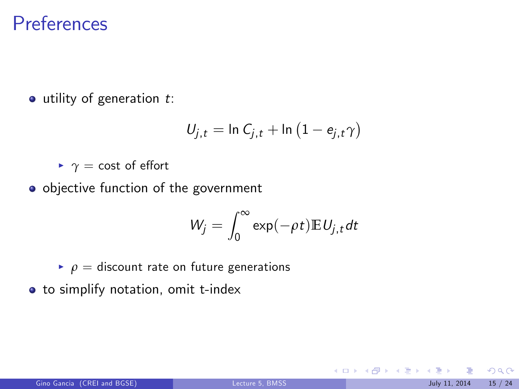#### **Preferences**

 $\bullet$  utility of generation  $t$ :

$$
U_{j,t}=\ln C_{j,t}+\ln \left(1-e_{j,t}\gamma\right)
$$

 $\blacktriangleright$   $\gamma$  = cost of effort

o objective function of the government

$$
W_j=\int_0^\infty \exp(-\rho t)\mathbb{E}\,U_{j,t}dt
$$

 $\rho =$  discount rate on future generations

**•** to simplify notation, omit t-index

つへへ

メロメ メタメ メミメ メミ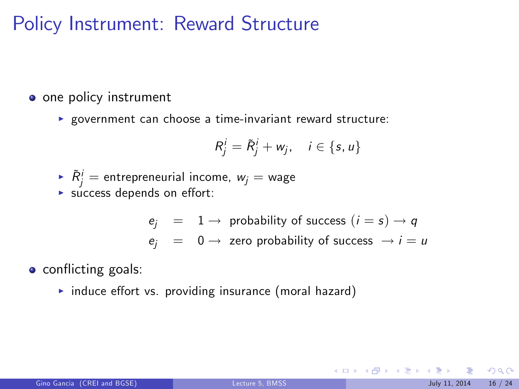## Policy Instrument: Reward Structure

• one policy instrument

 $\blacktriangleright$  government can choose a time-invariant reward structure:

$$
R_j^i = \tilde{R}_j^i + w_j, \quad i \in \{s, u\}
$$

- $\blacktriangleright$   $\tilde{R}^i_j =$  entrepreneurial income,  $w_j =$  wage
- $\blacktriangleright$  success depends on effort:

 $e_i = 1 \rightarrow$  probability of success  $(i = s) \rightarrow q$  $e_i = 0 \rightarrow$  zero probability of success  $\rightarrow i = u$ 

**o** conflicting goals:

 $\triangleright$  induce effort vs. providing insurance (moral hazard)

 $\Omega$ 

メロメ メ都 メメ きょうくぼ メー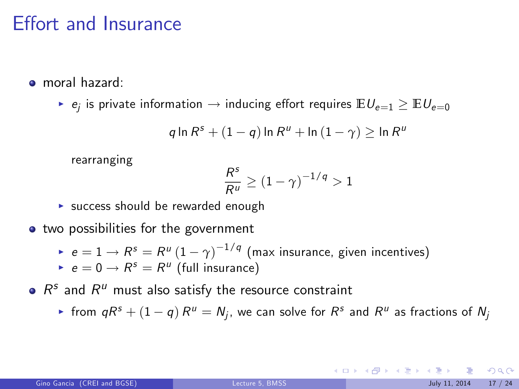## Effort and Insurance

- moral hazard:
	- $\blacktriangleright$   $e_j$  is private information  $\rightarrow$  inducing effort requires  $\mathbb{E} U_{e=1} \geq \mathbb{E} U_{e=0}$

$$
q \ln R^s + (1-q) \ln R^u + \ln (1-\gamma) \geq \ln R^u
$$

rearranging

$$
\frac{R^s}{R^u} \geq (1-\gamma)^{-1/q} > 1
$$

 $\triangleright$  success should be rewarded enough

• two possibilities for the government

- $e = 1 \rightarrow R^{s} = R^{u} (1 \gamma)^{-1/q}$  (max insurance, given incentives)
- $\blacktriangleright$   $e=0\rightarrow R^{s}=R^{u}$  (full insurance)
- $R<sup>s</sup>$  and  $R<sup>u</sup>$  must also satisfy the resource constraint
	- $\blacktriangleright$  from  $qR^s + (1-q)R^u = N_j$ , we can solve for  $R^s$  and  $R^u$  as fractions of  $N_j$

 $\Omega$ 

メロメ メ都 メメ きょうくぼ メー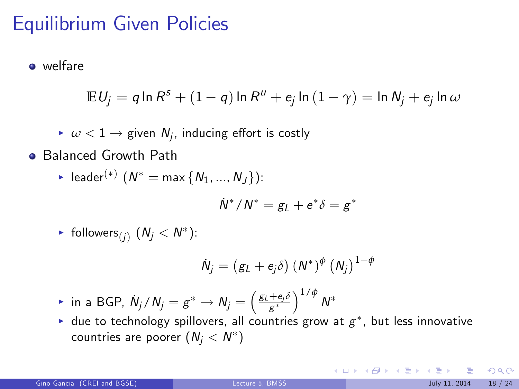## Equilibrium Given Policies

**o** welfare

$$
\mathbb{E} U_j = q \ln R^s + (1-q) \ln R^u + e_j \ln (1-\gamma) = \ln N_j + e_j \ln \omega
$$

- $\blacktriangleright \omega < 1 \rightarrow$  given  $N_j$ , inducing effort is costly
- **Balanced Growth Path** 
	- ► leader $({}^{*})$   $(N^{*} = \max\{N_{1},...,N_{J}\})$ :

$$
\dot{N}^*/N^* = g_L + e^*\delta = g^*
$$

▶ follows: 
$$
(N_j < N^*)
$$
:

$$
\dot{N}_j=\left(g_L+e_j\delta\right)\left(N^*\right)^{\phi}\left(N_j\right)^{1-\phi}
$$

- $*$  in a BGP,  $\dot{N}_j/N_j=g^*\to N_j=\left(\frac{g_L+e_j\delta}{g^*}\right)^{1/\phi}N^*$
- $\blacktriangleright$  due to technology spillovers, all countries grow at  $g^*$ , but less innovative countries are poorer  $(\mathit{N}_j < \mathit{N}^*)$

 $\Omega$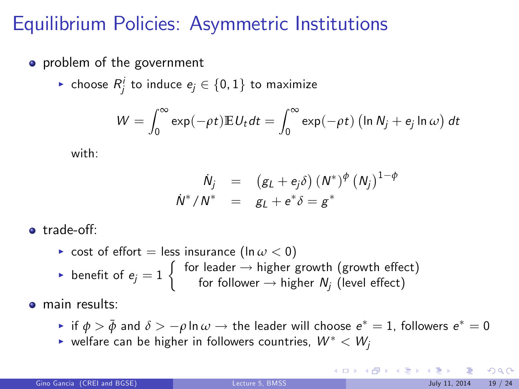## Equilibrium Policies: Asymmetric Institutions

- problem of the government
	- $\blacktriangleright$  choose  $R^i_j$  to induce  $e_j \in \{0,1\}$  to maximize

$$
W = \int_0^\infty \exp(-\rho t) \mathbb{E} U_t dt = \int_0^\infty \exp(-\rho t) \left( \ln N_j + e_j \ln \omega \right) dt
$$

with:

$$
\dot{N}_j = (g_L + e_j \delta) (N^*)^{\phi} (N_j)^{1-\phi}
$$
  

$$
\dot{N}^*/N^* = g_L + e^* \delta = g^*
$$

• trade-off:

\n- cost of effort = less insurance 
$$
(\ln \omega < 0)
$$
\n- benefit of  $e_j = 1$  for leader  $\rightarrow$  higher growth (growth effect)
\n- for follower  $\rightarrow$  higher  $N_j$  (level effect)
\n

**o** main results:

- $\triangleright$  if  $\phi > \bar{\phi}$  and  $\delta > -\rho \ln \omega \rightarrow$  the leader will choose  $e^* = 1$ , followers  $e^* = 0$
- $\blacktriangleright$  welfare can be higher in followers countries,  $W^* < W_i$

<span id="page-18-0"></span> $\Omega$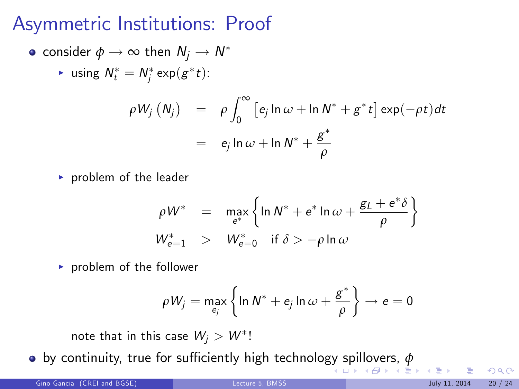## Asymmetric Institutions: Proof

• consider 
$$
\phi \to \infty
$$
 then  $N_j \to N^*$ 

$$
\text{ is using } N_t^* = N_j^* \exp(g^* t).
$$

$$
\rho W_j (N_j) = \rho \int_0^\infty \left[ e_j \ln \omega + \ln N^* + g^* t \right] \exp(-\rho t) dt
$$
  
=  $e_j \ln \omega + \ln N^* + \frac{g^*}{\rho}$ 

 $\blacktriangleright$  problem of the leader

$$
\rho W^* = \max_{e^*} \left\{ \ln N^* + e^* \ln \omega + \frac{g_L + e^* \delta}{\rho} \right\}
$$
  

$$
W_{e=1}^* > W_{e=0}^* \text{ if } \delta > -\rho \ln \omega
$$

 $\blacktriangleright$  problem of the follower

$$
\rho W_j = \max_{e_j} \left\{ \ln N^* + e_j \ln \omega + \frac{g^*}{\rho} \right\} \rightarrow e = 0
$$

note that in this case  $\mathit{W}_{j} > \mathit{W}^{*}!$ 

**by continuity, true for sufficiently high technolo[gy](#page-18-0) s[pil](#page-20-0)[l](#page-18-0)[ove](#page-19-0)[r](#page-20-0)[s,](#page-0-0)** *[φ](#page-23-0)***<br>A B k 4 B k 4 B k 4 B k** 

<span id="page-19-0"></span> $\Omega$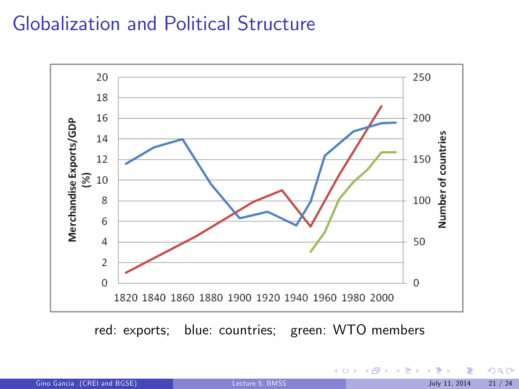## Globalization and Political Structure



red: exports; blue: countries; green: WTO members

<span id="page-20-0"></span> $299$ 

→ 伊 → → ミ →

4 日下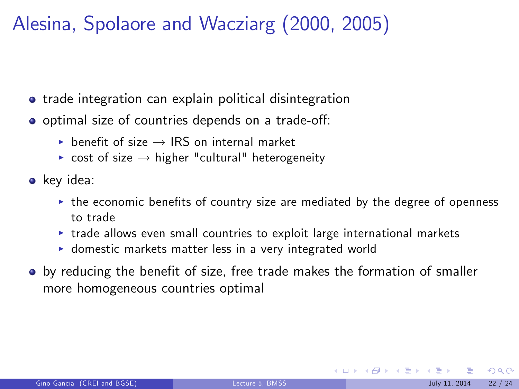# Alesina, Spolaore and Wacziarg (2000, 2005)

- **•** trade integration can explain political disintegration
- o optimal size of countries depends on a trade-off:
	- $\triangleright$  benefit of size  $\rightarrow$  IRS on internal market
	- $\triangleright$  cost of size  $\rightarrow$  higher "cultural" heterogeneity
- key idea:
	- $\triangleright$  the economic benefits of country size are mediated by the degree of openness to trade
	- $\triangleright$  trade allows even small countries to exploit large international markets
	- $\triangleright$  domestic markets matter less in a very integrated world
- $\bullet$  by reducing the benefit of size, free trade makes the formation of smaller more homogeneous countries optimal

 $\Omega$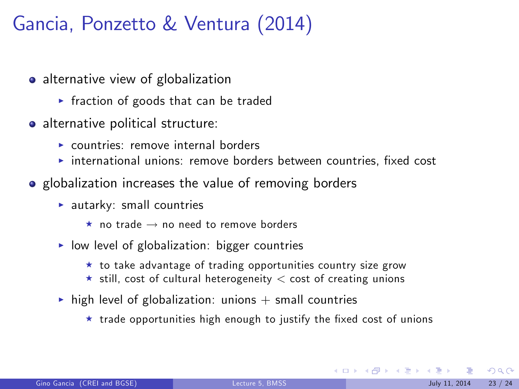# Gancia, Ponzetto & Ventura (2014)

- alternative view of globalization
	- $\triangleright$  fraction of goods that can be traded
- alternative political structure:
	- $\triangleright$  countries: remove internal borders
	- $\rightarrow$  international unions: remove borders between countries, fixed cost
- globalization increases the value of removing borders
	- $\blacktriangleright$  autarky: small countries
		- $\star$  no trade  $\to$  no need to remove borders
	- $\triangleright$  low level of globalization: bigger countries
		- $\star$  to take advantage of trading opportunities country size grow
		- $\star$  still, cost of cultural heterogeneity  $\lt$  cost of creating unions
	- $\triangleright$  high level of globalization: unions  $+$  small countries
		- $\star$  trade opportunities high enough to justify the fixed cost of unions

 $\Omega$ 

 $\left\{ \begin{array}{ccc} 1 & 0 & 0 \\ 0 & 1 & 0 \end{array} \right.$   $\left\{ \begin{array}{ccc} \frac{1}{2} & 0 & 0 \\ 0 & 0 & 0 \end{array} \right.$